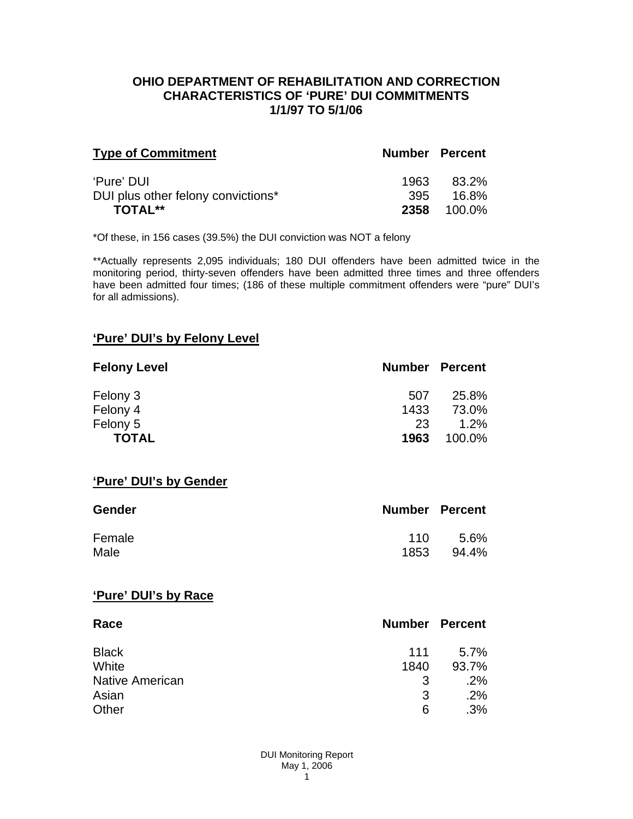### **OHIO DEPARTMENT OF REHABILITATION AND CORRECTION CHARACTERISTICS OF 'PURE' DUI COMMITMENTS 1/1/97 TO 5/1/06**

| <b>Type of Commitment</b>          | <b>Number Percent</b> |                    |
|------------------------------------|-----------------------|--------------------|
| 'Pure' DUI                         | 1963                  | 83.2%              |
| DUI plus other felony convictions* | 395                   | - 16.8%            |
| <b>TOTAL**</b>                     |                       | <b>2358</b> 100.0% |

\*Of these, in 156 cases (39.5%) the DUI conviction was NOT a felony

\*\*Actually represents 2,095 individuals; 180 DUI offenders have been admitted twice in the monitoring period, thirty-seven offenders have been admitted three times and three offenders have been admitted four times; (186 of these multiple commitment offenders were "pure" DUI's for all admissions).

## **'Pure' DUI's by Felony Level**

| <b>Felony Level</b> | <b>Number Percent</b> |         |
|---------------------|-----------------------|---------|
| Felony 3            | 507                   | 25.8%   |
| Felony 4            | 1433                  | 73.0%   |
| Felony 5            | 23                    | $1.2\%$ |
| <b>TOTAL</b>        | 1963                  | 100.0%  |

#### **'Pure' DUI's by Gender**

| Gender | <b>Number Percent</b> |       |
|--------|-----------------------|-------|
| Female | 11 O                  | .5.6% |
| Male   | 1853                  | 94.4% |

#### **'Pure' DUI's by Race**

| Race                   | <b>Number Percent</b> |       |
|------------------------|-----------------------|-------|
| <b>Black</b>           | 111                   | 5.7%  |
| White                  | 1840                  | 93.7% |
| <b>Native American</b> | 3                     | .2%   |
| Asian                  | 3                     | .2%   |
| Other                  | 6                     | .3%   |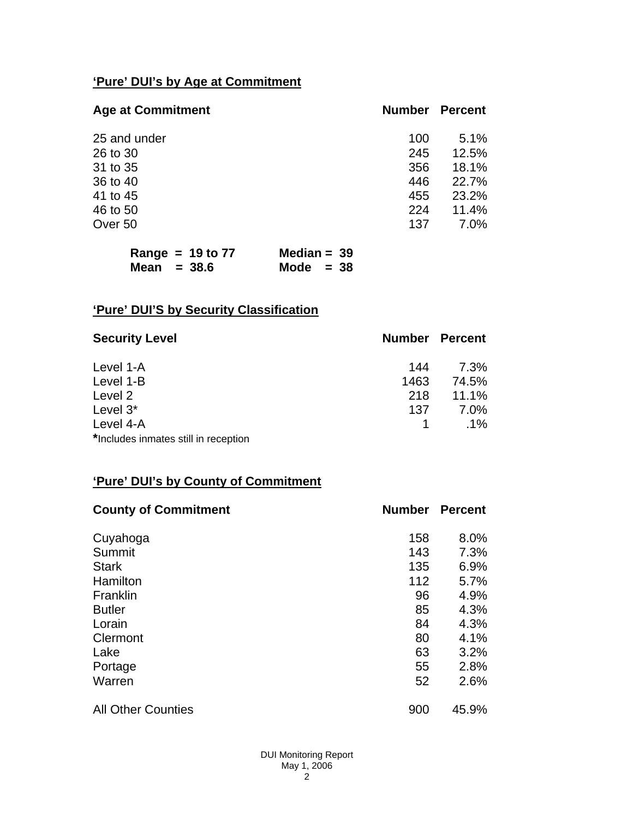# **'Pure' DUI's by Age at Commitment**

| <b>Age at Commitment</b> | <b>Number</b> | <b>Percent</b> |
|--------------------------|---------------|----------------|
| 25 and under             | 100           | 5.1%           |
| 26 to 30                 | 245           | 12.5%          |
| 31 to 35                 | 356           | 18.1%          |
| 36 to 40                 | 446           | 22.7%          |
| 41 to 45                 | 455           | 23.2%          |
| 46 to 50                 | 224           | 11.4%          |
| Over 50                  | 137           | $7.0\%$        |

|               | Range = $19$ to $77$ | Median = $39$ |  |
|---------------|----------------------|---------------|--|
| Mean $=$ 38.6 |                      | Mode $= 38$   |  |

# **'Pure' DUI'S by Security Classification**

| <b>Security Level</b>                | <b>Number Percent</b> |        |
|--------------------------------------|-----------------------|--------|
| Level 1-A                            | 144                   | 7.3%   |
| Level 1-B                            | 1463                  | 74.5%  |
| Level 2                              | 218                   | 11.1%  |
| Level 3*                             | 137                   | 7.0%   |
| Level 4-A                            |                       | $.1\%$ |
| *Includes inmates still in reception |                       |        |

# **'Pure' DUI's by County of Commitment**

| <b>County of Commitment</b> | <b>Number</b> | <b>Percent</b> |
|-----------------------------|---------------|----------------|
| Cuyahoga                    | 158           | 8.0%           |
| Summit                      | 143           | 7.3%           |
| <b>Stark</b>                | 135           | 6.9%           |
| Hamilton                    | 112           | 5.7%           |
| Franklin                    | 96            | 4.9%           |
| <b>Butler</b>               | 85            | 4.3%           |
| Lorain                      | 84            | 4.3%           |
| Clermont                    | 80            | 4.1%           |
| Lake                        | 63            | 3.2%           |
| Portage                     | 55            | 2.8%           |
| Warren                      | 52            | 2.6%           |
| <b>All Other Counties</b>   | 900           | 45.9%          |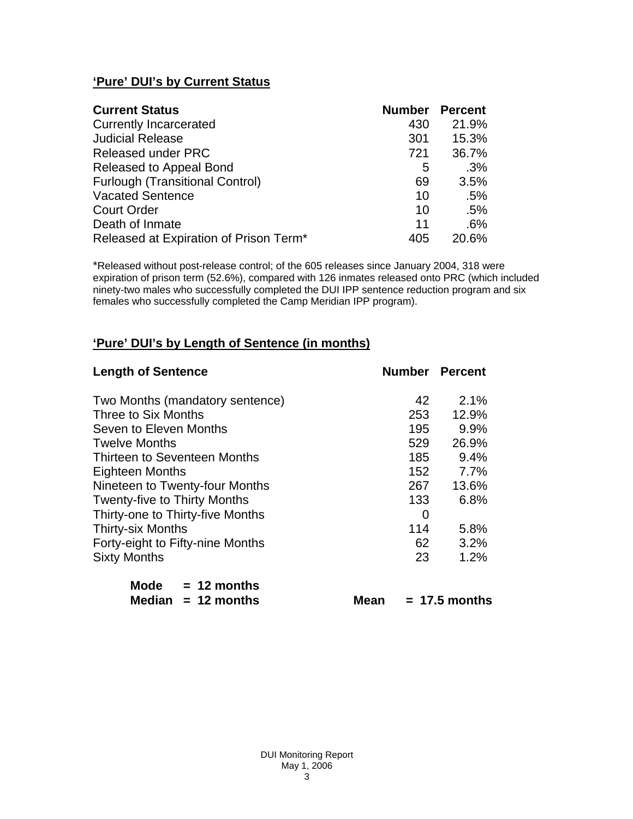# **'Pure' DUI's by Current Status**

| <b>Current Status</b>                  | <b>Number</b> | <b>Percent</b> |
|----------------------------------------|---------------|----------------|
| <b>Currently Incarcerated</b>          | 430           | 21.9%          |
| <b>Judicial Release</b>                | 301           | 15.3%          |
| <b>Released under PRC</b>              | 721           | 36.7%          |
| Released to Appeal Bond                | 5             | .3%            |
| <b>Furlough (Transitional Control)</b> | 69            | 3.5%           |
| <b>Vacated Sentence</b>                | 10            | .5%            |
| <b>Court Order</b>                     | 10            | .5%            |
| Death of Inmate                        | 11            | .6%            |
| Released at Expiration of Prison Term* | 405           | 20.6%          |

\*Released without post-release control; of the 605 releases since January 2004, 318 were expiration of prison term (52.6%), compared with 126 inmates released onto PRC (which included ninety-two males who successfully completed the DUI IPP sentence reduction program and six females who successfully completed the Camp Meridian IPP program).

# **'Pure' DUI's by Length of Sentence (in months)**

| <b>Length of Sentence</b>           | <b>Number Percent</b> |       |
|-------------------------------------|-----------------------|-------|
| Two Months (mandatory sentence)     | 42                    | 2.1%  |
| Three to Six Months                 | 253                   | 12.9% |
| Seven to Eleven Months              | 195                   | 9.9%  |
| <b>Twelve Months</b>                | 529                   | 26.9% |
| Thirteen to Seventeen Months        | 185                   | 9.4%  |
| Eighteen Months                     | 152 <sub>1</sub>      | 7.7%  |
| Nineteen to Twenty-four Months      | 267                   | 13.6% |
| <b>Twenty-five to Thirty Months</b> | 133                   | 6.8%  |
| Thirty-one to Thirty-five Months    | $\Omega$              |       |
| <b>Thirty-six Months</b>            | 114                   | 5.8%  |
| Forty-eight to Fifty-nine Months    | 62                    | 3.2%  |
| <b>Sixty Months</b>                 | 23                    | 1.2%  |

| Mode   | $= 12$ months |
|--------|---------------|
| Median | $= 12$ months |

 $Mean = 17.5 months$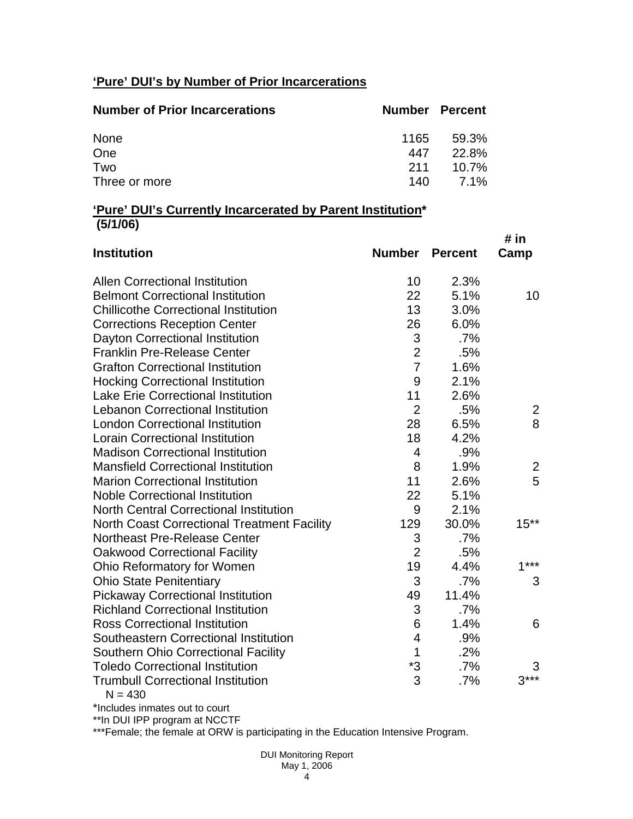# **'Pure' DUI's by Number of Prior Incarcerations**

| <b>Number of Prior Incarcerations</b> | <b>Number Percent</b> |          |
|---------------------------------------|-----------------------|----------|
| None                                  | 1165                  | 59.3%    |
| One                                   | 447                   | 22.8%    |
| Two                                   | 211                   | $10.7\%$ |
| Three or more                         | 140 L                 | $7.1\%$  |

### **'Pure' DUI's Currently Incarcerated by Parent Institution\* (5/1/06)**

| <b>Institution</b>                                    | Number         | <b>Percent</b> | # in<br>Camp   |
|-------------------------------------------------------|----------------|----------------|----------------|
| <b>Allen Correctional Institution</b>                 | 10             | 2.3%           |                |
| <b>Belmont Correctional Institution</b>               | 22             | 5.1%           | 10             |
| <b>Chillicothe Correctional Institution</b>           | 13             | 3.0%           |                |
| <b>Corrections Reception Center</b>                   | 26             | 6.0%           |                |
| Dayton Correctional Institution                       | 3              | .7%            |                |
| <b>Franklin Pre-Release Center</b>                    | $\overline{2}$ | .5%            |                |
| <b>Grafton Correctional Institution</b>               | $\overline{7}$ | 1.6%           |                |
| <b>Hocking Correctional Institution</b>               | 9              | 2.1%           |                |
| <b>Lake Erie Correctional Institution</b>             | 11             | 2.6%           |                |
| <b>Lebanon Correctional Institution</b>               | $\overline{2}$ | .5%            | 2              |
| <b>London Correctional Institution</b>                | 28             | 6.5%           | 8              |
| <b>Lorain Correctional Institution</b>                | 18             | 4.2%           |                |
| <b>Madison Correctional Institution</b>               | $\overline{4}$ | .9%            |                |
| <b>Mansfield Correctional Institution</b>             | 8              | 1.9%           | $\overline{2}$ |
| <b>Marion Correctional Institution</b>                | 11             | 2.6%           | 5              |
| <b>Noble Correctional Institution</b>                 | 22             | 5.1%           |                |
| <b>North Central Correctional Institution</b>         | 9              | 2.1%           |                |
| <b>North Coast Correctional Treatment Facility</b>    | 129            | 30.0%          | $15**$         |
| Northeast Pre-Release Center                          | 3              | .7%            |                |
| <b>Oakwood Correctional Facility</b>                  | $\overline{2}$ | .5%            |                |
| Ohio Reformatory for Women                            | 19             | 4.4%           | $1***$         |
| <b>Ohio State Penitentiary</b>                        | 3              | .7%            | 3              |
| <b>Pickaway Correctional Institution</b>              | 49             | 11.4%          |                |
| <b>Richland Correctional Institution</b>              | 3              | $.7\%$         |                |
| <b>Ross Correctional Institution</b>                  | 6              | 1.4%           | 6              |
| Southeastern Correctional Institution                 | 4              | .9%            |                |
| <b>Southern Ohio Correctional Facility</b>            | 1              | .2%            |                |
| <b>Toledo Correctional Institution</b>                | *3             | .7%            | 3              |
| <b>Trumbull Correctional Institution</b><br>$N = 430$ | 3              | .7%            | $3***$         |

\*Includes inmates out to court

\*\*In DUI IPP program at NCCTF

\*\*\*Female; the female at ORW is participating in the Education Intensive Program.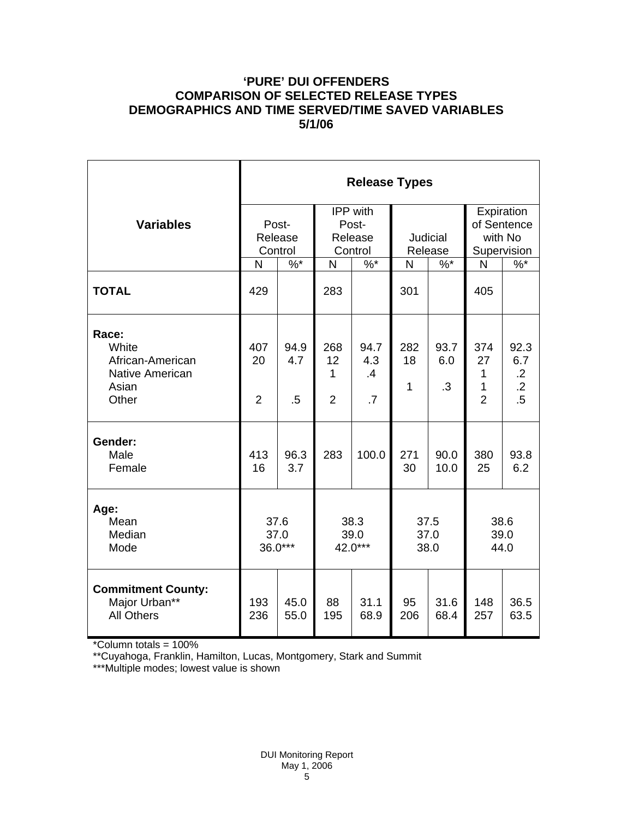## **'PURE' DUI OFFENDERS COMPARISON OF SELECTED RELEASE TYPES DEMOGRAPHICS AND TIME SERVED/TIME SAVED VARIABLES 5/1/06**

|                                                                         | <b>Release Types</b>        |                       |                                                |                         |                      |                          |                                                     |                                                    |  |
|-------------------------------------------------------------------------|-----------------------------|-----------------------|------------------------------------------------|-------------------------|----------------------|--------------------------|-----------------------------------------------------|----------------------------------------------------|--|
| <b>Variables</b>                                                        | Post-<br>Release<br>Control |                       | <b>IPP</b> with<br>Post-<br>Release<br>Control |                         | Judicial<br>Release  |                          | Expiration<br>of Sentence<br>with No<br>Supervision |                                                    |  |
|                                                                         | N                           | $\%$ *                | N                                              | $\%$ *                  | N                    | $\%$ *                   | N                                                   | $\%$                                               |  |
| <b>TOTAL</b>                                                            | 429                         |                       | 283                                            |                         | 301                  |                          | 405                                                 |                                                    |  |
| Race:<br>White<br>African-American<br>Native American<br>Asian<br>Other | 407<br>20<br>$\overline{2}$ | 94.9<br>4.7<br>$.5\,$ | 268<br>12<br>1<br>$\overline{2}$               | 94.7<br>4.3<br>.4<br>.7 | 282<br>18<br>1       | 93.7<br>6.0<br>$\cdot$ 3 | 374<br>27<br>1<br>1<br>$\overline{2}$               | 92.3<br>6.7<br>$\cdot$ .2<br>$\overline{.2}$<br>.5 |  |
| Gender:<br>Male<br>Female                                               | 413<br>16                   | 96.3<br>3.7           | 283                                            | 100.0                   | 271<br>30            | 90.0<br>10.0             | 380<br>25                                           | 93.8<br>6.2                                        |  |
| Age:<br>Mean<br>Median<br>Mode                                          | 37.6<br>37.0<br>36.0***     |                       | 38.3<br>39.0<br>42.0***                        |                         | 37.5<br>37.0<br>38.0 |                          | 38.6<br>39.0<br>44.0                                |                                                    |  |
| <b>Commitment County:</b><br>Major Urban**<br><b>All Others</b>         | 193<br>236                  | 45.0<br>55.0          | 88<br>195                                      | 31.1<br>68.9            | 95<br>206            | 31.6<br>68.4             | 148<br>257                                          | 36.5<br>63.5                                       |  |

\*Column totals = 100%

\*\*Cuyahoga, Franklin, Hamilton, Lucas, Montgomery, Stark and Summit

\*\*\*Multiple modes; lowest value is shown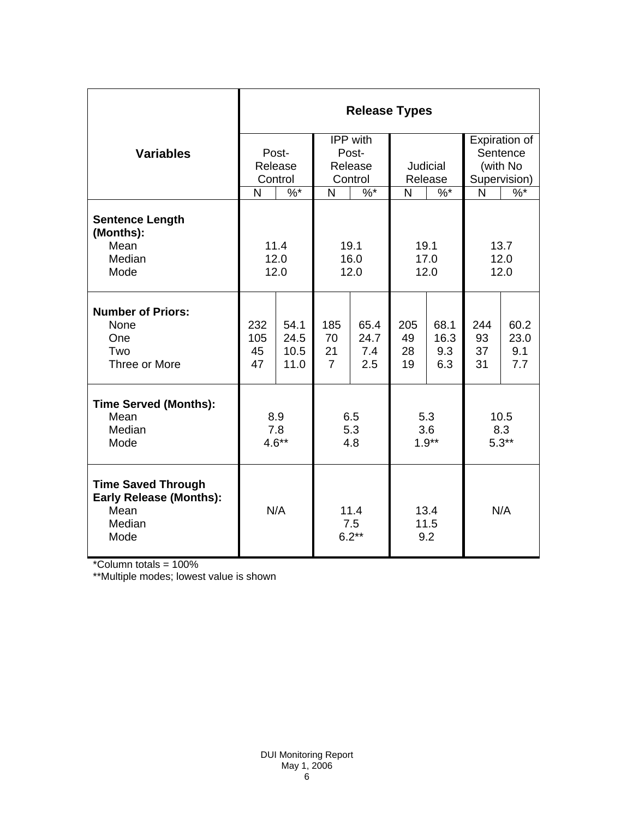|                                                                                                 | <b>Release Types</b>        |                              |                                         |                            |                       |                            |                                                       |                            |
|-------------------------------------------------------------------------------------------------|-----------------------------|------------------------------|-----------------------------------------|----------------------------|-----------------------|----------------------------|-------------------------------------------------------|----------------------------|
| <b>Variables</b>                                                                                | Post-<br>Release<br>Control |                              | IPP with<br>Post-<br>Release<br>Control |                            | Judicial<br>Release   |                            | Expiration of<br>Sentence<br>(with No<br>Supervision) |                            |
|                                                                                                 | N                           | $\frac{9}{6}$                | $\frac{9}{6}$<br>N                      |                            | N<br>$\%$ *           |                            | N                                                     | $\frac{9}{6}$              |
| <b>Sentence Length</b><br>(Months):<br>Mean<br>Median<br>Mode                                   | 11.4<br>12.0<br>12.0        |                              | 19.1<br>16.0<br>12.0                    |                            | 19.1<br>17.0<br>12.0  |                            | 13.7<br>12.0<br>12.0                                  |                            |
| <b>Number of Priors:</b><br>None<br>One<br>Two<br>Three or More                                 | 232<br>105<br>45<br>47      | 54.1<br>24.5<br>10.5<br>11.0 | 185<br>70<br>21<br>$\overline{7}$       | 65.4<br>24.7<br>7.4<br>2.5 | 205<br>49<br>28<br>19 | 68.1<br>16.3<br>9.3<br>6.3 | 244<br>93<br>37<br>31                                 | 60.2<br>23.0<br>9.1<br>7.7 |
| <b>Time Served (Months):</b><br>Mean<br>Median<br>Mode                                          | 8.9<br>7.8<br>$4.6**$       |                              | 6.5<br>5.3<br>4.8                       |                            | 5.3<br>3.6<br>$1.9**$ |                            | 10.5<br>8.3<br>$5.3**$                                |                            |
| <b>Time Saved Through</b><br><b>Early Release (Months):</b><br>Mean<br>Median<br>Mode<br>$\sim$ | N/A                         |                              | 11.4<br>7.5<br>$6.2**$                  |                            | 13.4<br>11.5<br>9.2   |                            | N/A                                                   |                            |

\*Column totals = 100%

\*\*Multiple modes; lowest value is shown